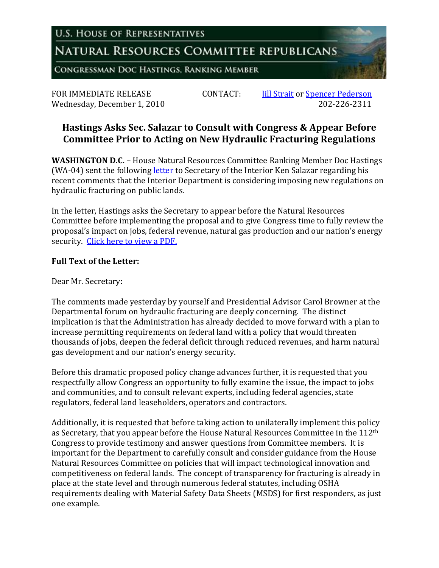**U.S. HOUSE OF REPRESENTATIVES** 

NATURAL RESOURCES COMMITTEE REPUBLICANS

CONGRESSMAN DOC HASTINGS, RANKING MEMBER

Wednesday, December 1, 2010

FOR IMMEDIATE RELEASE CONTACT: [Jill Strait](mailto:jill.strait@mail.house.gov) or [Spencer Pederson](mailto:spencer.pederson@mail.house.gov)

## **Hastings Asks Sec. Salazar to Consult with Congress & Appear Before Committee Prior to Acting on New Hydraulic Fracturing Regulations**

**WASHINGTON D.C. –** House Natural Resources Committee Ranking Member Doc Hastings (WA-04) sent the following [letter](http://republicans.resourcescommittee.house.gov/UploadedFiles/LtrToSalazarFracking-120110.pdf) to Secretary of the Interior Ken Salazar regarding his recent comments that the Interior Department is considering imposing new regulations on hydraulic fracturing on public lands.

In the letter, Hastings asks the Secretary to appear before the Natural Resources Committee before implementing the proposal and to give Congress time to fully review the proposal's impact on jobs, federal revenue, natural gas production and our nation's energy security. [Click here to view a PDF.](http://republicans.resourcescommittee.house.gov/UploadedFiles/LtrToSalazarFracking-120110.pdf)

## **Full Text of the Letter:**

Dear Mr. Secretary:

The comments made yesterday by yourself and Presidential Advisor Carol Browner at the Departmental forum on hydraulic fracturing are deeply concerning. The distinct implication is that the Administration has already decided to move forward with a plan to increase permitting requirements on federal land with a policy that would threaten thousands of jobs, deepen the federal deficit through reduced revenues, and harm natural gas development and our nation's energy security.

Before this dramatic proposed policy change advances further, it is requested that you respectfully allow Congress an opportunity to fully examine the issue, the impact to jobs and communities, and to consult relevant experts, including federal agencies, state regulators, federal land leaseholders, operators and contractors.

Additionally, it is requested that before taking action to unilaterally implement this policy as Secretary, that you appear before the House Natural Resources Committee in the 112<sup>th</sup> Congress to provide testimony and answer questions from Committee members. It is important for the Department to carefully consult and consider guidance from the House Natural Resources Committee on policies that will impact technological innovation and competitiveness on federal lands. The concept of transparency for fracturing is already in place at the state level and through numerous federal statutes, including OSHA requirements dealing with Material Safety Data Sheets (MSDS) for first responders, as just one example.